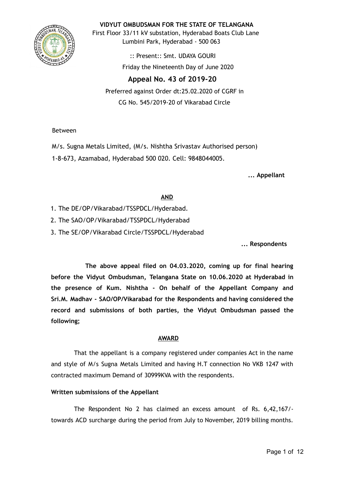

**VIDYUT OMBUDSMAN FOR THE STATE OF TELANGANA**

First Floor 33/11 kV substation, Hyderabad Boats Club Lane Lumbini Park, Hyderabad - 500 063

> :: Present:: Smt. UDAYA GOURI Friday the Nineteenth Day of June 2020

**Appeal No. 43 of 2019-20**  Preferred against Order dt:25.02.2020 of CGRF in CG No. 545/2019-20 of Vikarabad Circle

Between

M/s. Sugna Metals Limited, (M/s. Nishtha Srivastav Authorised person) 1-8-673, Azamabad, Hyderabad 500 020. Cell: 9848044005.

**... Appellant**

## **AND**

- 1. The DE/OP/Vikarabad/TSSPDCL/Hyderabad.
- 2. The SAO/OP/Vikarabad/TSSPDCL/Hyderabad
- 3. The SE/OP/Vikarabad Circle/TSSPDCL/Hyderabad

**... Respondents**

**The above appeal filed on 04.03.2020, coming up for final hearing before the Vidyut Ombudsman, Telangana State on 10.06.2020 at Hyderabad in the presence of Kum. Nishtha - On behalf of the Appellant Company and Sri.M. Madhav - SAO/OP/Vikarabad for the Respondents and having considered the record and submissions of both parties, the Vidyut Ombudsman passed the following;**

# **AWARD**

That the appellant is a company registered under companies Act in the name and style of M/s Sugna Metals Limited and having H.T connection No VKB 1247 with contracted maximum Demand of 30999KVA with the respondents.

## **Written submissions of the Appellant**

The Respondent No 2 has claimed an excess amount of Rs. 6,42,167/ towards ACD surcharge during the period from July to November, 2019 billing months.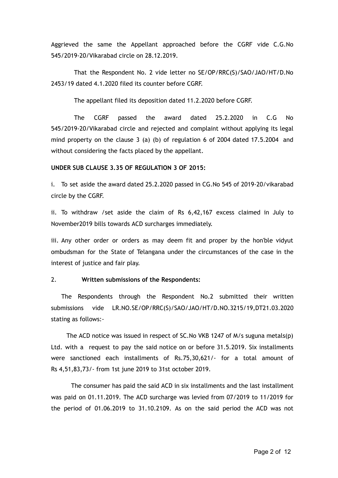Aggrieved the same the Appellant approached before the CGRF vide C.G.No 545/2019-20/Vikarabad circle on 28.12.2019.

That the Respondent No. 2 vide letter no SE/OP/RRC(S)/SAO/JAO/HT/D.No 2453/19 dated 4.1.2020 filed its counter before CGRF.

The appellant filed its deposition dated 11.2.2020 before CGRF.

The CGRF passed the award dated 25.2.2020 in C.G No 545/2019-20/Vikarabad circle and rejected and complaint without applying its legal mind property on the clause 3 (a) (b) of regulation 6 of 2004 dated 17.5.2004 and without considering the facts placed by the appellant.

#### **UNDER SUB CLAUSE 3.35 OF REGULATION 3 OF 2015:**

i. To set aside the award dated 25.2.2020 passed in CG.No 545 of 2019-20/vikarabad circle by the CGRF.

ii. To withdraw /set aside the claim of Rs 6,42,167 excess claimed in July to November2019 bills towards ACD surcharges immediately.

iii. Any other order or orders as may deem fit and proper by the hon'ble vidyut ombudsman for the State of Telangana under the circumstances of the case in the interest of justice and fair play.

## 2. **Written submissions of the Respondents:**

The Respondents through the Respondent No.2 submitted their written submissions vide LR.NO.SE/OP/RRC(S)/SAO/JAO/HT/D.NO.3215/19,DT21.03.2020 stating as follows:-

The ACD notice was issued in respect of SC.No VKB 1247 of M/s suguna metals(p) Ltd. with a request to pay the said notice on or before 31.5.2019. Six installments were sanctioned each installments of Rs.75,30,621/- for a total amount of Rs 4,51,83,73/- from 1st june 2019 to 31st october 2019.

The consumer has paid the said ACD in six installments and the last installment was paid on 01.11.2019. The ACD surcharge was levied from 07/2019 to 11/2019 for the period of 01.06.2019 to 31.10.2109. As on the said period the ACD was not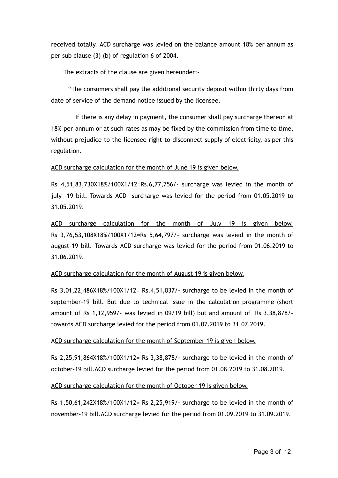received totally. ACD surcharge was levied on the balance amount 18% per annum as per sub clause (3) (b) of regulation 6 of 2004.

The extracts of the clause are given hereunder:-

"The consumers shall pay the additional security deposit within thirty days from date of service of the demand notice issued by the licensee.

If there is any delay in payment, the consumer shall pay surcharge thereon at 18% per annum or at such rates as may be fixed by the commission from time to time, without prejudice to the licensee right to disconnect supply of electricity, as per this regulation.

#### ACD surcharge calculation for the month of June 19 is given below.

Rs 4,51,83,730X18%/100X1/12=Rs.6,77,756/- surcharge was levied in the month of july -19 bill. Towards ACD surcharge was levied for the period from 01.05.2019 to 31.05.2019.

ACD surcharge calculation for the month of July 19 is given below. Rs 3,76,53,108X18%/100X1/12=Rs 5,64,797/- surcharge was levied in the month of august-19 bill. Towards ACD surcharge was levied for the period from 01.06.2019 to 31.06.2019.

#### ACD surcharge calculation for the month of August 19 is given below.

Rs 3,01,22,486X18%/100X1/12= Rs.4,51,837/- surcharge to be levied in the month of september-19 bill. But due to technical issue in the calculation programme (short amount of Rs 1,12,959/- was levied in 09/19 bill) but and amount of Rs 3,38,878/ towards ACD surcharge levied for the period from 01.07.2019 to 31.07.2019.

#### ACD surcharge calculation for the month of September 19 is given below.

Rs 2,25,91,864X18%/100X1/12= Rs 3,38,878/- surcharge to be levied in the month of october-19 bill.ACD surcharge levied for the period from 01.08.2019 to 31.08.2019.

#### ACD surcharge calculation for the month of October 19 is given below.

Rs 1,50,61,242X18%/100X1/12= Rs 2,25,919/- surcharge to be levied in the month of november-19 bill.ACD surcharge levied for the period from 01.09.2019 to 31.09.2019.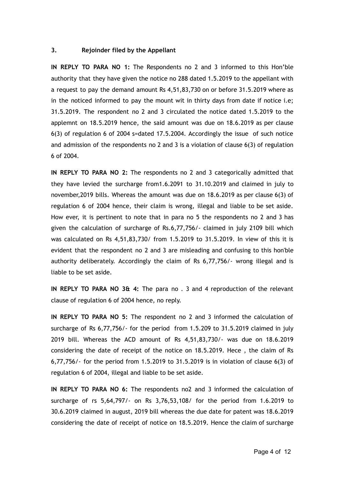#### **3. Rejoinder filed by the Appellant**

**IN REPLY TO PARA NO 1:** The Respondents no 2 and 3 informed to this Hon'ble authority that they have given the notice no 288 dated 1.5.2019 to the appellant with a request to pay the demand amount Rs 4,51,83,730 on or before 31.5.2019 where as in the noticed informed to pay the mount wit in thirty days from date if notice i.e; 31.5.2019. The respondent no 2 and 3 circulated the notice dated 1.5.2019 to the applemnt on 18.5.2019 hence, the said amount was due on 18.6.2019 as per clause 6(3) of regulation 6 of 2004 s=dated 17.5.2004. Accordingly the issue of such notice and admission of the respondents no 2 and 3 is a violation of clause 6(3) of regulation 6 of 2004.

**IN REPLY TO PARA NO 2:** The respondents no 2 and 3 categorically admitted that they have levied the surcharge from1.6.2091 to 31.10.2019 and claimed in july to november,2019 bills. Whereas the amount was due on 18.6.2019 as per clause 6(3) of regulation 6 of 2004 hence, their claim is wrong, illegal and liable to be set aside. How ever, it is pertinent to note that in para no 5 the respondents no 2 and 3 has given the calculation of surcharge of Rs.6,77,756/- claimed in july 2109 bill which was calculated on Rs 4,51,83,730/ from 1.5.2019 to 31.5.2019. In view of this it is evident that the respondent no 2 and 3 are misleading and confusing to this hon'ble authority deliberately. Accordingly the claim of Rs 6,77,756/- wrong illegal and is liable to be set aside.

**IN REPLY TO PARA NO 3& 4:** The para no . 3 and 4 reproduction of the relevant clause of regulation 6 of 2004 hence, no reply.

**IN REPLY TO PARA NO 5:** The respondent no 2 and 3 informed the calculation of surcharge of Rs 6,77,756/- for the period from 1.5.209 to 31.5.2019 claimed in july 2019 bill. Whereas the ACD amount of Rs 4,51,83,730/- was due on 18.6.2019 considering the date of receipt of the notice on 18.5.2019. Hece , the claim of Rs 6,77,756/- for the period from 1.5.2019 to 31.5.2019 is in violation of clause 6(3) of regulation 6 of 2004, illegal and liable to be set aside.

**IN REPLY TO PARA NO 6:** The respondents no2 and 3 informed the calculation of surcharge of rs 5,64,797/- on Rs 3,76,53,108/ for the period from 1.6.2019 to 30.6.2019 claimed in august, 2019 bill whereas the due date for patent was 18.6.2019 considering the date of receipt of notice on 18.5.2019. Hence the claim of surcharge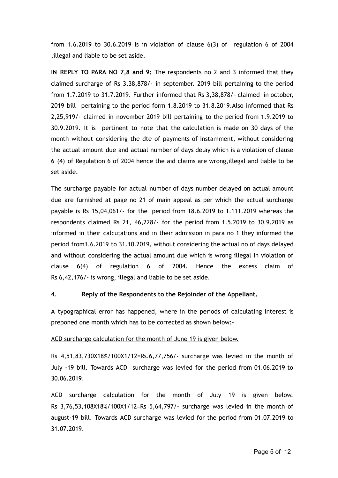from 1.6.2019 to 30.6.2019 is in violation of clause 6(3) of regulation 6 of 2004 ,illegal and liable to be set aside.

**IN REPLY TO PARA NO 7,8 and 9:** The respondents no 2 and 3 informed that they claimed surcharge of Rs 3,38,878/- in september. 2019 bill pertaining to the period from 1.7.2019 to 31.7.2019. Further informed that Rs 3,38,878/- claimed in october, 2019 bill pertaining to the period form 1.8.2019 to 31.8.2019.Also informed that Rs 2,25,919/- claimed in november 2019 bill pertaining to the period from 1.9.2019 to 30.9.2019. It is pertinent to note that the calculation is made on 30 days of the month without considering the dte of payments of instamment, without considering the actual amount due and actual number of days delay which is a violation of clause 6 (4) of Regulation 6 of 2004 hence the aid claims are wrong,illegal and liable to be set aside.

The surcharge payable for actual number of days number delayed on actual amount due are furnished at page no 21 of main appeal as per which the actual surcharge payable is Rs 15,04,061/- for the period from 18.6.2019 to 1.111.2019 whereas the respondents claimed Rs 21, 46,228/- for the period from 1.5.2019 to 30.9.2019 as informed in their calcu;ations and in their admission in para no 1 they informed the period from1.6.2019 to 31.10.2019, without considering the actual no of days delayed and without considering the actual amount due which is wrong illegal in violation of clause 6(4) of regulation 6 of 2004. Hence the excess claim of Rs 6,42,176/- is wrong, illegal and liable to be set aside.

### 4. **Reply of the Respondents to the Rejoinder of the Appellant.**

A typographical error has happened, where in the periods of calculating interest is preponed one month which has to be corrected as shown below:-

#### ACD surcharge calculation for the month of June 19 is given below.

Rs 4,51,83,730X18%/100X1/12=Rs.6,77,756/- surcharge was levied in the month of July -19 bill. Towards ACD surcharge was levied for the period from 01.06.2019 to 30.06.2019.

ACD surcharge calculation for the month of July 19 is given below. Rs 3,76,53,108X18%/100X1/12=Rs 5,64,797/- surcharge was levied in the month of august-19 bill. Towards ACD surcharge was levied for the period from 01.07.2019 to 31.07.2019.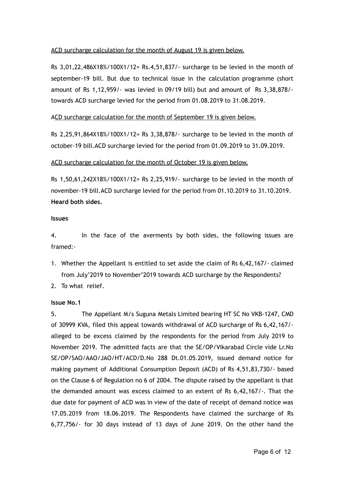## ACD surcharge calculation for the month of August 19 is given below.

Rs 3,01,22,486X18%/100X1/12= Rs.4,51,837/- surcharge to be levied in the month of september-19 bill. But due to technical issue in the calculation programme (short amount of Rs 1,12,959/- was levied in 09/19 bill) but and amount of Rs 3,38,878/ towards ACD surcharge levied for the period from 01.08.2019 to 31.08.2019.

## ACD surcharge calculation for the month of September 19 is given below.

Rs 2,25,91,864X18%/100X1/12= Rs 3,38,878/- surcharge to be levied in the month of october-19 bill.ACD surcharge levied for the period from 01.09.2019 to 31.09.2019.

### ACD surcharge calculation for the month of October 19 is given below.

Rs 1,50,61,242X18%/100X1/12= Rs 2,25,919/- surcharge to be levied in the month of november-19 bill.ACD surcharge levied for the period from 01.10.2019 to 31.10.2019. **Heard both sides.**

### **Issues**

4. In the face of the averments by both sides, the following issues are framed:-

- 1. Whether the Appellant is entitled to set aside the claim of Rs 6,42,167/- claimed from July'2019 to November'2019 towards ACD surcharge by the Respondents?
- 2. To what relief.

### **Issue No.1**

5. The Appellant M/s Suguna Metals Limited bearing HT SC No VKB-1247, CMD of 30999 KVA, filed this appeal towards withdrawal of ACD surcharge of Rs 6,42,167/ alleged to be excess claimed by the respondents for the period from July 2019 to November 2019. The admitted facts are that the SE/OP/Vikarabad Circle vide Lr.No SE/OP/SAO/AAO/JAO/HT/ACD/D.No 288 Dt.01.05.2019, issued demand notice for making payment of Additional Consumption Deposit (ACD) of Rs 4,51,83,730/- based on the Clause 6 of Regulation no 6 of 2004. The dispute raised by the appellant is that the demanded amount was excess claimed to an extent of Rs 6,42,167/-. That the due date for payment of ACD was in view of the date of receipt of demand notice was 17.05.2019 from 18.06.2019. The Respondents have claimed the surcharge of Rs 6,77,756/- for 30 days instead of 13 days of June 2019. On the other hand the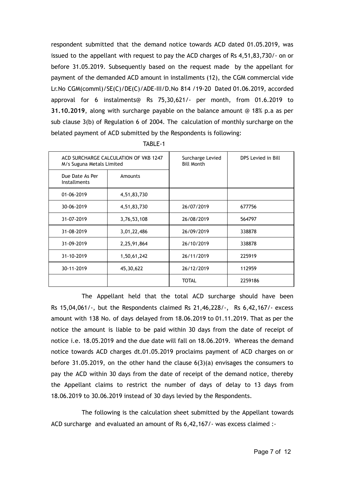respondent submitted that the demand notice towards ACD dated 01.05.2019, was issued to the appellant with request to pay the ACD charges of Rs 4,51,83,730/- on or before 31.05.2019. Subsequently based on the request made by the appellant for payment of the demanded ACD amount in installments (12), the CGM commercial vide Lr.No CGM(comml)/SE(C)/DE(C)/ADE-III/D.No 814 /19-20 Dated 01.06.2019, accorded approval for 6 instalments@ Rs 75,30,621/- per month, from 01.6.2019 to **31.10.2019** , along with surcharge payable on the balance amount @ 18% p.a as per sub clause 3(b) of Regulation 6 of 2004. The calculation of monthly surcharge on the belated payment of ACD submitted by the Respondents is following:

| M/s Suguna Metals Limited              | ACD SURCHARGE CALCULATION OF VKB 1247 | Surcharge Levied<br><b>Bill Month</b> | DPS Levied in Bill |
|----------------------------------------|---------------------------------------|---------------------------------------|--------------------|
| Due Date As Per<br><b>Installments</b> | Amounts                               |                                       |                    |
| 01-06-2019                             | 4,51,83,730                           |                                       |                    |
| 30-06-2019                             | 4,51,83,730                           | 26/07/2019                            | 677756             |
| 31-07-2019                             | 3,76,53,108                           | 26/08/2019                            | 564797             |
| 31-08-2019                             | 3,01,22,486                           | 26/09/2019                            | 338878             |
| 31-09-2019                             | 2,25,91,864                           | 26/10/2019                            | 338878             |
| 31-10-2019                             | 1,50,61,242                           | 26/11/2019                            | 225919             |
| 30-11-2019                             | 45,30,622                             |                                       | 112959             |
|                                        |                                       | <b>TOTAL</b>                          | 2259186            |

TABLE-1

The Appellant held that the total ACD surcharge should have been Rs 15,04,061/-, but the Respondents claimed Rs 21,46,228/-, Rs 6,42,167/- excess amount with 138 No. of days delayed from 18.06.2019 to 01.11.2019. That as per the notice the amount is liable to be paid within 30 days from the date of receipt of notice i.e. 18.05.2019 and the due date will fall on 18.06.2019. Whereas the demand notice towards ACD charges dt.01.05.2019 proclaims payment of ACD charges on or before 31.05.2019, on the other hand the clause 6(3)(a) envisages the consumers to pay the ACD within 30 days from the date of receipt of the demand notice, thereby the Appellant claims to restrict the number of days of delay to 13 days from 18.06.2019 to 30.06.2019 instead of 30 days levied by the Respondents.

The following is the calculation sheet submitted by the Appellant towards ACD surcharge and evaluated an amount of Rs 6,42,167/- was excess claimed :-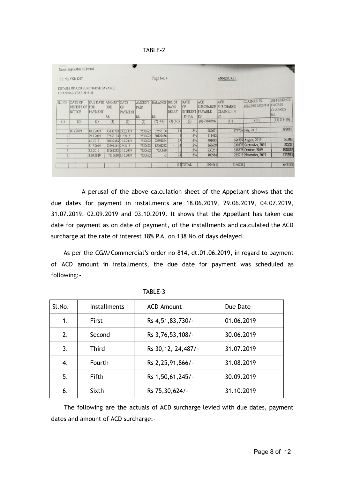TABLE-2

|         | H.T. No. VKB 1247                                          |                                               |                   |                    |                              | Page No. 4                   |                      |                                                  |                                                  | <b>ANNEXURE I</b>                                          |                                                  |                                            |
|---------|------------------------------------------------------------|-----------------------------------------------|-------------------|--------------------|------------------------------|------------------------------|----------------------|--------------------------------------------------|--------------------------------------------------|------------------------------------------------------------|--------------------------------------------------|--------------------------------------------|
|         | DETAILS OF ACD SURCHARGE PAYABLE<br>FINANCIAL YEAR 2019-20 |                                               |                   |                    |                              |                              |                      |                                                  |                                                  |                                                            |                                                  |                                            |
| SL. NO. | DATE OF<br><b>RECEIPT OF</b><br>NOTICE                     | <b>DUE DATE AMOUNT DATE</b><br>FOR<br>PAYMENT | DUE<br>RS.        | OF<br>PAYMENT      | <b>AMOUNT</b><br>PAID<br>RS. | <b>BALANCE NO. OF</b><br>RS. | <b>DAYS</b><br>DELAY | <b>RATE</b><br>OF<br><b>INTEREST</b><br>18% P.A. | <b>ACD</b><br><b>SURCHARGE</b><br>PAYABLE<br>RS. | <b>ACD</b><br><b>SURCHARGE</b><br><b>CLAIMED IN</b><br>RS. | <b>CLAIMED IN</b><br><b>BILLING MONTH EXCESS</b> | <b>DIFFERENCE</b><br><b>CLAIMED</b><br>RS. |
| (1)     | (2)                                                        | (3)                                           | (4)               | (5)                | (6)                          | $(7)(4-6)$                   | $(8)(5-3)$           | (9)                                              | $(10)$ $(4X9/365X8)$                             | (11)                                                       | (12)                                             | $(13)(11-10)$                              |
|         | 118.5.2019                                                 | 18.6.2019                                     |                   | 45183730 29.6.2019 | 7530622                      | 37653108                     | 13                   | 18%                                              | 289671                                           |                                                            | 677756 July, 2019                                | 388085                                     |
|         |                                                            | 29.6.2019                                     | 37653108 4.7.2019 |                    | 7530622                      | 30122486                     | 61                   | 18%                                              | 111412                                           |                                                            |                                                  |                                            |
|         |                                                            | 4.7.2019                                      |                   | 30122486 31.7.2019 | 7530622                      | 22591864                     | 27                   | 18%                                              | 401083                                           |                                                            | 564797 August, 2019                              | 52302                                      |
|         |                                                            | 31.7.2019                                     | 22591864 2.9.2019 |                    | 7530622                      | 15061242                     | 33                   | 18%                                              | 367659                                           |                                                            | 338878 September, 2019                           | $-28781$                                   |
|         |                                                            | 2.9.2019                                      |                   | 15061242 3.10.2019 | 7530622                      | 7530620                      | 31                   | 18%                                              | 230251                                           |                                                            | 338878 October, 2019                             | 108627                                     |
| 6       |                                                            | 3.10.2019                                     |                   | 7530620 1.11.2019  | 7530622                      | $-2$                         | 28                   | 18%                                              | 103984                                           |                                                            | 225919 November, 2019                            | 129935                                     |
|         |                                                            |                                               |                   |                    |                              |                              |                      |                                                  |                                                  |                                                            |                                                  |                                            |
|         |                                                            |                                               |                   |                    |                              |                              |                      | 138 TOTAL                                        | 1504061                                          | 2146228                                                    |                                                  | 642167                                     |

A perusal of the above calculation sheet of the Appellant shows that the due dates for payment in installments are 18.06.2019, 29.06.2019, 04.07.2019, 31.07.2019, 02.09.2019 and 03.10.2019. It shows that the Appellant has taken due date for payment as on date of payment, of the installments and calculated the ACD surcharge at the rate of interest 18% P.A. on 138 No.of days delayed.

As per the CGM/Commercial's order no 814, dt.01.06.2019, in regard to payment of ACD amount in installments, the due date for payment was scheduled as following:-

| Sl.No. | Installments | <b>ACD Amount</b>    | Due Date   |
|--------|--------------|----------------------|------------|
| 1.     | <b>First</b> | Rs 4,51,83,730/-     | 01.06.2019 |
| 2.     | Second       | Rs 3,76,53,108/-     | 30.06.2019 |
| 3.     | <b>Third</b> | Rs 30, 12, 24, 487/- | 31.07.2019 |
| 4.     | Fourth       | Rs 2,25,91,866/-     | 31.08.2019 |
| 5.     | <b>Fifth</b> | Rs 1,50,61,245/-     | 30.09.2019 |
| 6.     | Sixth        | Rs 75,30,624/-       | 31.10.2019 |

TABLE-3

The following are the actuals of ACD surcharge levied with due dates, payment dates and amount of ACD surcharge:-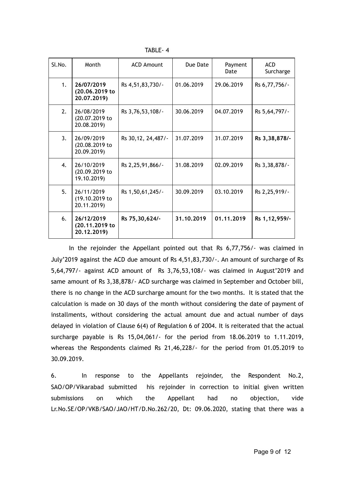TABLE- 4

| Sl.No.         | Month                                       | <b>ACD Amount</b>    | Due Date   | Payment<br>Date | <b>ACD</b><br>Surcharge |
|----------------|---------------------------------------------|----------------------|------------|-----------------|-------------------------|
| 1 <sub>1</sub> | 26/07/2019<br>(20.06.2019 to<br>20.07.2019) | Rs 4,51,83,730/-     | 01.06.2019 | 29.06.2019      | Rs 6,77,756/-           |
| 2.             | 26/08/2019<br>(20.07.2019 to<br>20.08.2019) | Rs 3,76,53,108/-     | 30.06.2019 | 04.07.2019      | Rs 5,64,797/-           |
| 3 <sub>1</sub> | 26/09/2019<br>(20.08.2019 to<br>20.09.2019) | Rs 30, 12, 24, 487/- | 31.07.2019 | 31.07.2019      | Rs 3, 38, 878/-         |
| $\mathbf{4}$ . | 26/10/2019<br>(20.09.2019 to<br>19.10.2019) | Rs 2, 25, 91, 866/-  | 31.08.2019 | 02.09.2019      | Rs 3,38,878/-           |
| 5 <sub>1</sub> | 26/11/2019<br>(19.10.2019 to<br>20.11.2019) | Rs 1,50,61,245/-     | 30.09.2019 | 03.10.2019      | Rs 2, 25, 919/-         |
| 6.             | 26/12/2019<br>(20.11.2019 to<br>20.12.2019) | Rs 75,30,624/-       | 31.10.2019 | 01.11.2019      | Rs 1, 12, 959/-         |

In the rejoinder the Appellant pointed out that Rs 6,77,756/- was claimed in July'2019 against the ACD due amount of Rs 4,51,83,730/-. An amount of surcharge of Rs 5,64,797/- against ACD amount of Rs 3,76,53,108/- was claimed in August'2019 and same amount of Rs 3,38,878/- ACD surcharge was claimed in September and October bill, there is no change in the ACD surcharge amount for the two months. It is stated that the calculation is made on 30 days of the month without considering the date of payment of installments, without considering the actual amount due and actual number of days delayed in violation of Clause 6(4) of Regulation 6 of 2004. It is reiterated that the actual surcharge payable is Rs 15,04,061/- for the period from 18.06.2019 to 1.11.2019, whereas the Respondents claimed Rs 21,46,228/- for the period from 01.05.2019 to 30.09.2019.

6. In response to the Appellants rejoinder, the Respondent No.2, SAO/OP/Vikarabad submitted his rejoinder in correction to initial given written submissions on which the Appellant had no objection, vide Lr.No.SE/OP/VKB/SAO/JAO/HT/D.No.262/20, Dt: 09.06.2020, stating that there was a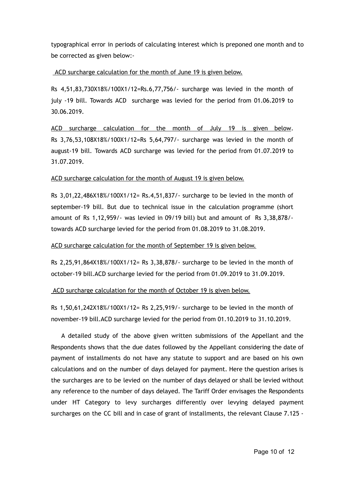typographical error in periods of calculating interest which is preponed one month and to be corrected as given below:-

## ACD surcharge calculation for the month of June 19 is given below.

Rs 4,51,83,730X18%/100X1/12=Rs.6,77,756/- surcharge was levied in the month of july -19 bill. Towards ACD surcharge was levied for the period from 01.06.2019 to 30.06.2019.

ACD surcharge calculation for the month of July 19 is given below. Rs 3,76,53,108X18%/100X1/12=Rs 5,64,797/- surcharge was levied in the month of august-19 bill. Towards ACD surcharge was levied for the period from 01.07.2019 to 31.07.2019.

## ACD surcharge calculation for the month of August 19 is given below.

Rs 3,01,22,486X18%/100X1/12= Rs.4,51,837/- surcharge to be levied in the month of september-19 bill. But due to technical issue in the calculation programme (short amount of Rs 1,12,959/- was levied in 09/19 bill) but and amount of Rs 3,38,878/ towards ACD surcharge levied for the period from 01.08.2019 to 31.08.2019.

ACD surcharge calculation for the month of September 19 is given below.

Rs 2,25,91,864X18%/100X1/12= Rs 3,38,878/- surcharge to be levied in the month of october-19 bill.ACD surcharge levied for the period from 01.09.2019 to 31.09.2019.

ACD surcharge calculation for the month of October 19 is given below.

Rs 1,50,61,242X18%/100X1/12= Rs 2,25,919/- surcharge to be levied in the month of november-19 bill.ACD surcharge levied for the period from 01.10.2019 to 31.10.2019.

A detailed study of the above given written submissions of the Appellant and the Respondents shows that the due dates followed by the Appellant considering the date of payment of installments do not have any statute to support and are based on his own calculations and on the number of days delayed for payment. Here the question arises is the surcharges are to be levied on the number of days delayed or shall be levied without any reference to the number of days delayed. The Tariff Order envisages the Respondents under HT Category to levy surcharges differently over levying delayed payment surcharges on the CC bill and in case of grant of installments, the relevant Clause 7.125 -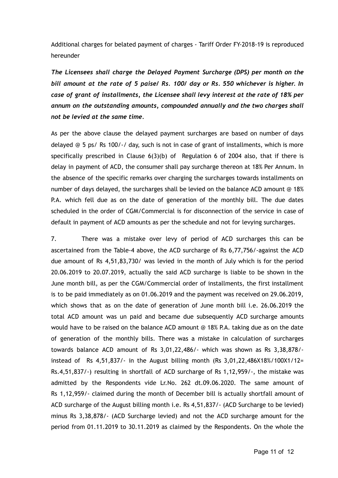Additional charges for belated payment of charges - Tariff Order FY-2018-19 is reproduced hereunder

*The Licensees shall charge the Delayed Payment Surcharge (DPS) per month on the bill amount at the rate of 5 paise/ Rs. 100/ day or Rs. 550 whichever is higher. In case of grant of installments, the Licensee shall levy interest at the rate of 18% per annum on the outstanding amounts, compounded annually and the two charges shall not be levied at the same time.*

As per the above clause the delayed payment surcharges are based on number of days delayed @ 5 ps/ Rs 100/-/ day, such is not in case of grant of installments, which is more specifically prescribed in Clause 6(3)(b) of Regulation 6 of 2004 also, that if there is delay in payment of ACD, the consumer shall pay surcharge thereon at 18% Per Annum. In the absence of the specific remarks over charging the surcharges towards installments on number of days delayed, the surcharges shall be levied on the balance ACD amount @ 18% P.A. which fell due as on the date of generation of the monthly bill. The due dates scheduled in the order of CGM/Commercial is for disconnection of the service in case of default in payment of ACD amounts as per the schedule and not for levying surcharges.

7. There was a mistake over levy of period of ACD surcharges this can be ascertained from the Table-4 above, the ACD surcharge of Rs 6,77,756/-against the ACD due amount of Rs 4,51,83,730/ was levied in the month of July which is for the period 20.06.2019 to 20.07.2019, actually the said ACD surcharge is liable to be shown in the June month bill, as per the CGM/Commercial order of installments, the first installment is to be paid immediately as on 01.06.2019 and the payment was received on 29.06.2019, which shows that as on the date of generation of June month bill i.e. 26.06.2019 the total ACD amount was un paid and became due subsequently ACD surcharge amounts would have to be raised on the balance ACD amount @ 18% P.A. taking due as on the date of generation of the monthly bills. There was a mistake in calculation of surcharges towards balance ACD amount of Rs 3,01,22,486/- which was shown as Rs 3,38,878/ instead of Rs 4,51,837/- in the August billing month (Rs 3,01,22,486X18%/100X1/12= Rs.4,51,837/-) resulting in shortfall of ACD surcharge of Rs 1,12,959/-, the mistake was admitted by the Respondents vide Lr.No. 262 dt.09.06.2020. The same amount of Rs 1,12,959/- claimed during the month of December bill is actually shortfall amount of ACD surcharge of the August billing month i.e. Rs 4,51,837/- (ACD Surcharge to be levied) minus Rs 3,38,878/- (ACD Surcharge levied) and not the ACD surcharge amount for the period from 01.11.2019 to 30.11.2019 as claimed by the Respondents. On the whole the